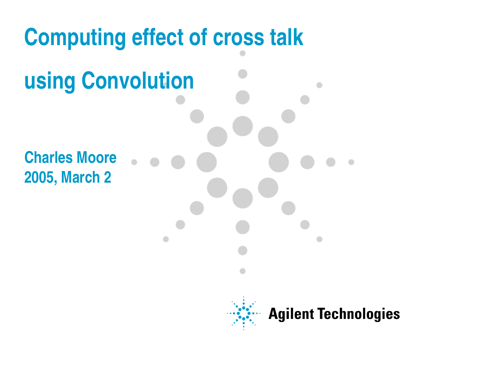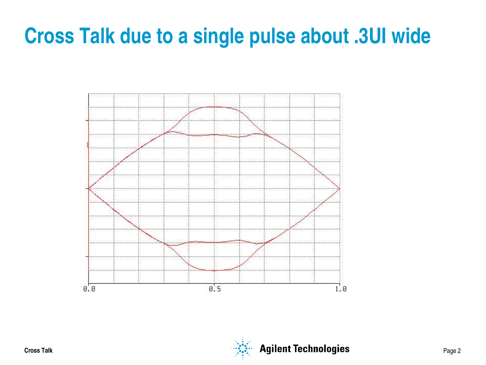## **Cross Talk due to a single pulse about .3UI wide**



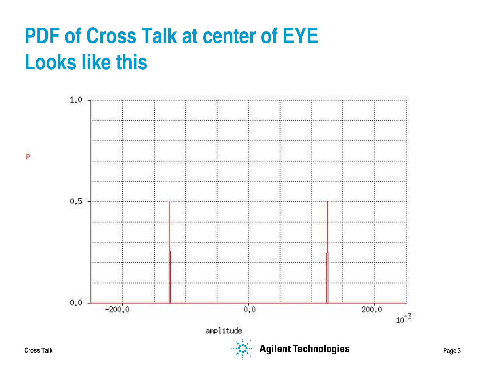# **PDF of Cross Talk at center of EYE Looks like this**



Þ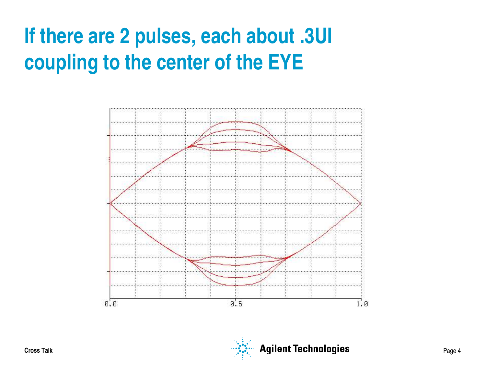# **If there are 2 pulses, each about .3UI coupling to the center of the EYE**



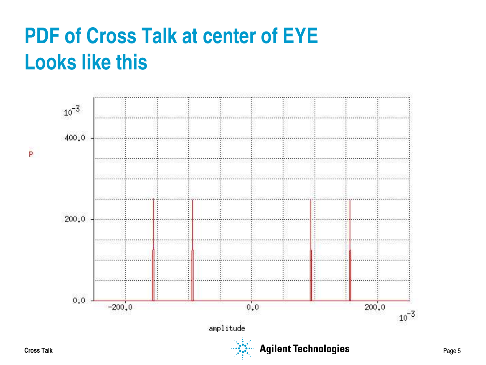# **PDF of Cross Talk at center of EYE Looks like this**

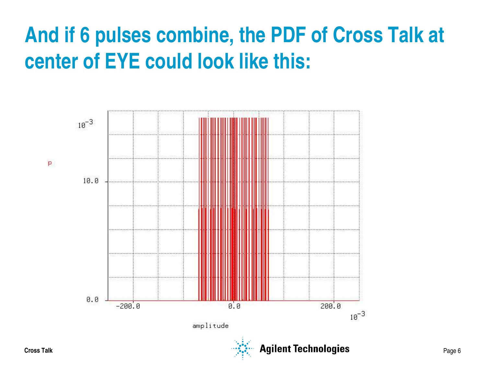# **And if 6 pulses combine, the PDF of Cross Talk at center of EYE could look like this:**

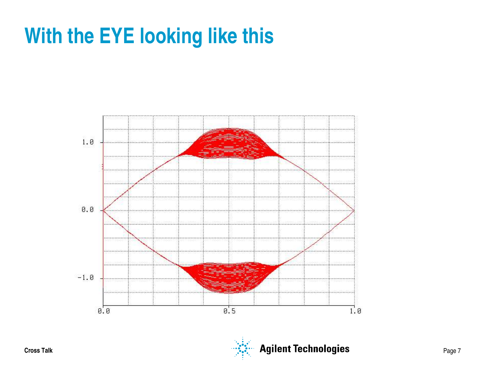## **With the EYE looking like this**



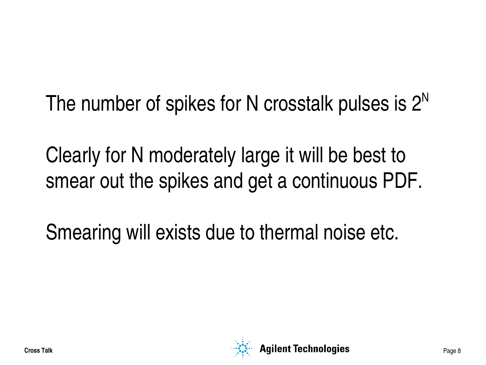The number of spikes for N crosstalk pulses is  $2^N$ 

Clearly for N moderately large it will be best to smear out the spikes and get a continuous PDF.

Smearing will exists due to thermal noise etc.

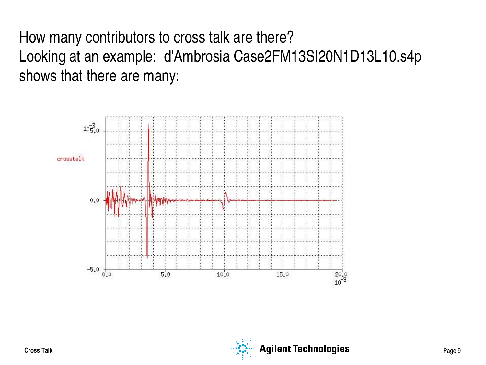How many contributors to cross talk are there? Looking at an example: d'Ambrosia Case2FM13SI20N1D13L10.s4p shows that there are many:



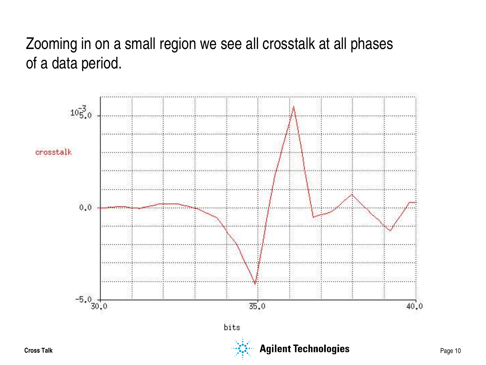## Zooming in on a small region we see all crosstalk at all phases of a data period.

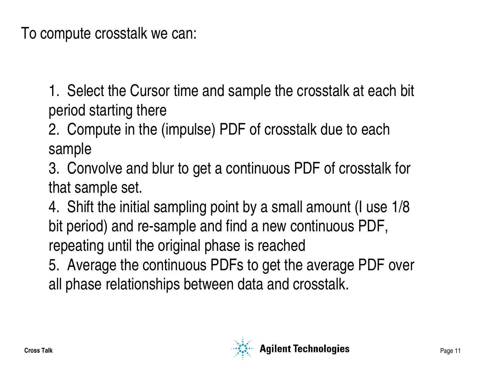To compute crosstalk we can:

1. Select the Cursor time and sample the crosstalk at each bit period starting there

2. Compute in the (impulse) PDF of crosstalk due to each sample

3. Convolve and blur to get a continuous PDF of crosstalk for that sample set.

4. Shift the initial sampling point by a small amount (I use 1/8 bit period) and re-sample and find a new continuous PDF, repeating until the original phase is reached

5. Average the continuous PDFs to get the average PDF over all phase relationships between data and crosstalk.

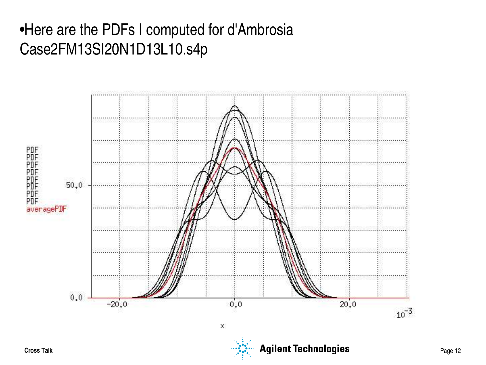## •Here are the PDFs I computed for d'Ambrosia Case2FM13SI20N1D13L10.s4p

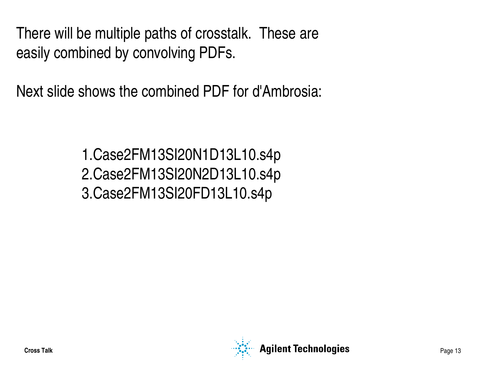There will be multiple paths of crosstalk. These are easily combined by convolving PDFs.

Next slide shows the combined PDF for d'Ambrosia:

1.Case2FM13SI20N1D13L10.s4p 2.Case2FM13SI20N2D13L10.s4p 3.Case2FM13SI20FD13L10.s4p

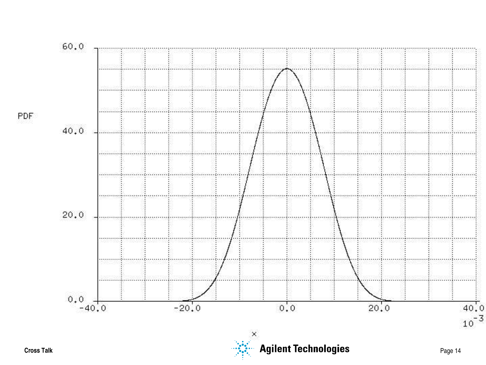

PDF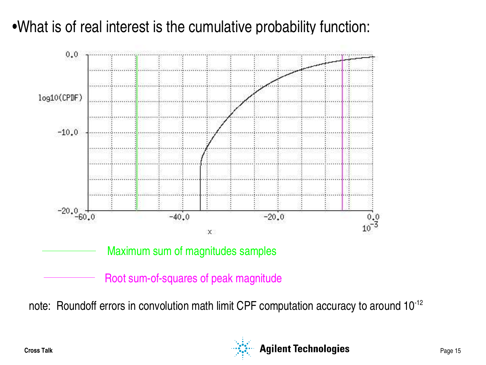## •What is of real interest is the cumulative probability function:



note: Roundoff errors in convolution math limit CPF computation accuracy to around  $10^{-12}$